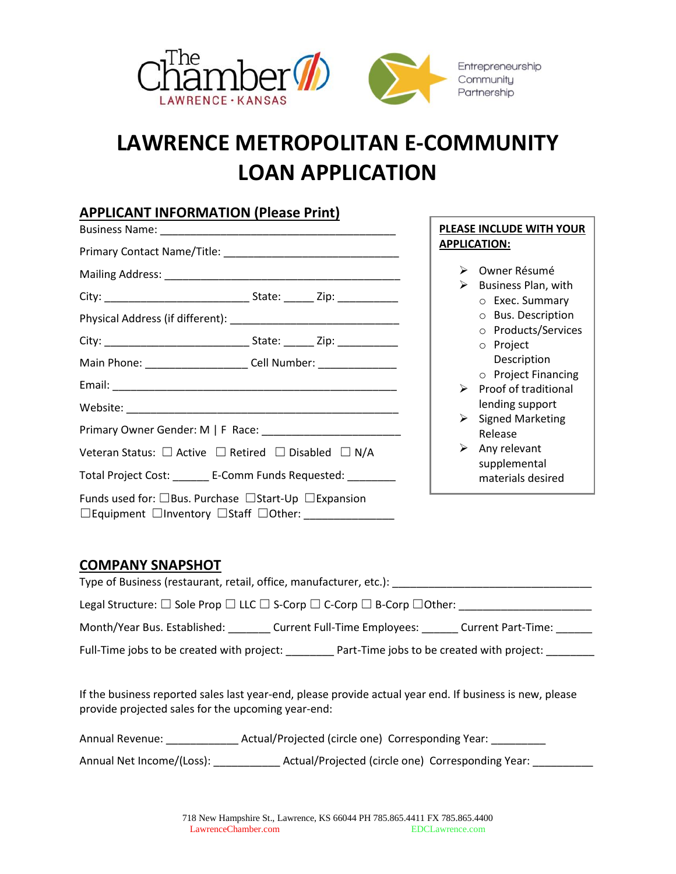

## **LAWRENCE METROPOLITAN E-COMMUNITY LOAN APPLICATION**

Г

## **APPLICANT INFORMATION (Please Print)**

|                                                                                                                                       |                                                                                  |                            | PLEASE INCLUDE WITH YOUR                   |  |
|---------------------------------------------------------------------------------------------------------------------------------------|----------------------------------------------------------------------------------|----------------------------|--------------------------------------------|--|
|                                                                                                                                       |                                                                                  |                            | <b>APPLICATION:</b>                        |  |
|                                                                                                                                       |                                                                                  | $\blacktriangleright$<br>➤ | Owner Résumé<br>Business Plan, with        |  |
|                                                                                                                                       |                                                                                  |                            | $\circ$ Exec. Summary                      |  |
|                                                                                                                                       |                                                                                  |                            | O Bus. Description                         |  |
|                                                                                                                                       |                                                                                  |                            | o Products/Services<br>o Project           |  |
|                                                                                                                                       | Main Phone: ________________________ Cell Number: ______________________________ |                            | Description                                |  |
|                                                                                                                                       |                                                                                  |                            | $\circ$ Project Financing                  |  |
|                                                                                                                                       |                                                                                  |                            | $\triangleright$ Proof of traditional      |  |
|                                                                                                                                       |                                                                                  | $\blacktriangleright$      | lending support<br><b>Signed Marketing</b> |  |
|                                                                                                                                       |                                                                                  |                            | Release                                    |  |
| Veteran Status: $\square$ Active $\square$ Retired $\square$ Disabled $\square$ N/A                                                   |                                                                                  | ≻                          | Any relevant<br>supplemental               |  |
| Total Project Cost: _______ E-Comm Funds Requested: ________                                                                          |                                                                                  |                            | materials desired                          |  |
| Funds used for: $\Box$ Bus. Purchase $\Box$ Start-Up $\Box$ Expansion<br>$\Box$ Equipment $\Box$ Inventory $\Box$ Staff $\Box$ Other: |                                                                                  |                            |                                            |  |

## **COMPANY SNAPSHOT**

| Type of Business (restaurant, retail, office, manufacturer, etc.):                               |
|--------------------------------------------------------------------------------------------------|
| Legal Structure: □ Sole Prop □ LLC □ S-Corp □ C-Corp □ B-Corp □ Other:                           |
| Month/Year Bus. Established:<br><b>Current Full-Time Employees:</b><br><b>Current Part-Time:</b> |
| Full-Time jobs to be created with project:<br>Part-Time jobs to be created with project:         |

If the business reported sales last year-end, please provide actual year end. If business is new, please provide projected sales for the upcoming year-end:

| <b>Annual Revenue:</b> | Actual/Projected (circle one) Corresponding Year: |  |
|------------------------|---------------------------------------------------|--|
|                        |                                                   |  |

Annual Net Income/(Loss): \_\_\_\_\_\_\_\_\_\_\_\_\_\_ Actual/Projected (circle one) Corresponding Year: \_\_\_\_\_\_\_\_\_